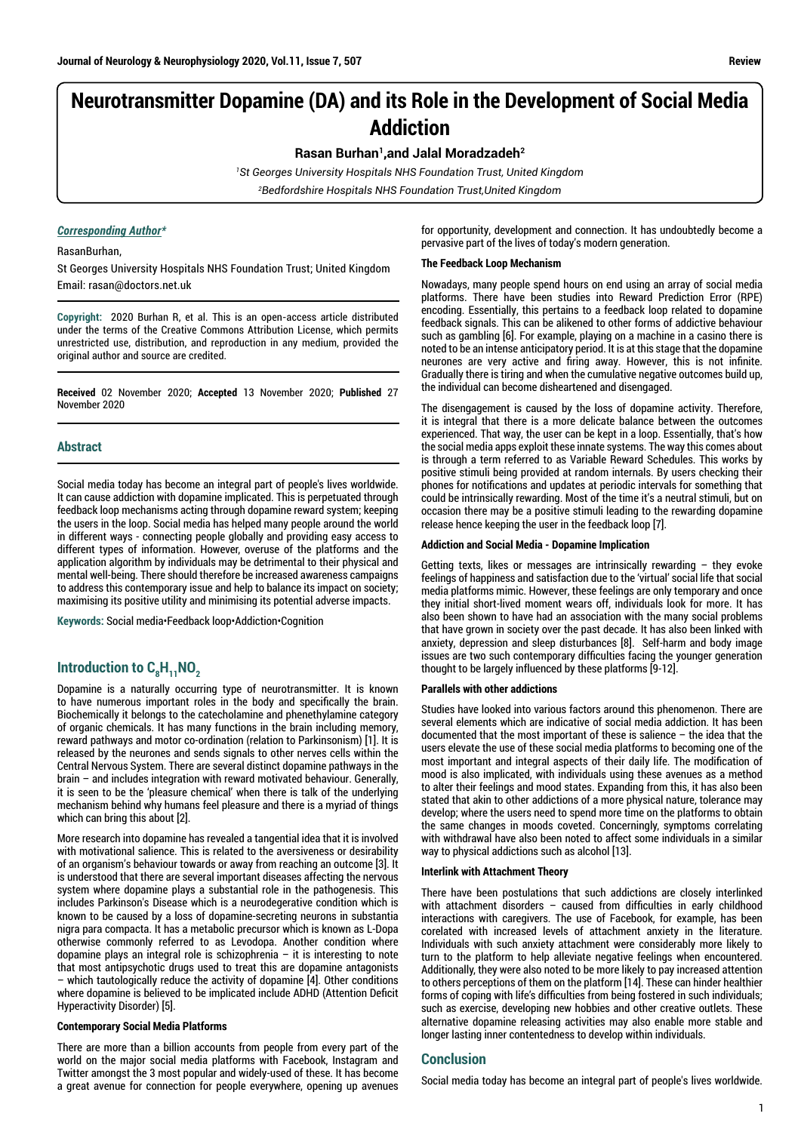# **Neurotransmitter Dopamine (DA) and its Role in the Development of Social Media Addiction**

**Rasan Burhan1,and Jalal Moradzadeh2**

*1 St Georges University Hospitals NHS Foundation Trust, United Kingdom 2 Bedfordshire Hospitals NHS Foundation Trust,United Kingdom*

# *Corresponding Author\**

RasanBurhan,

St Georges University Hospitals NHS Foundation Trust; United Kingdom Email: rasan@doctors.net.uk

**Copyright:** 2020 Burhan R, et al. This is an open-access article distributed under the terms of the Creative Commons Attribution License, which permits unrestricted use, distribution, and reproduction in any medium, provided the original author and source are credited.

**Received** 02 November 2020; **Accepted** 13 November 2020; **Published** 27 November 2020

# **Abstract**

Social media today has become an integral part of people's lives worldwide. It can cause addiction with dopamine implicated. This is perpetuated through feedback loop mechanisms acting through dopamine reward system; keeping the users in the loop. Social media has helped many people around the world in different ways - connecting people globally and providing easy access to different types of information. However, overuse of the platforms and the application algorithm by individuals may be detrimental to their physical and mental well-being. There should therefore be increased awareness campaigns to address this contemporary issue and help to balance its impact on society; maximising its positive utility and minimising its potential adverse impacts.

**Keywords:** Social media•Feedback loop•Addiction•Cognition

# Introduction to C<sub>8</sub>H<sub>11</sub>NO<sub>2</sub>

Dopamine is a naturally occurring type of neurotransmitter. It is known to have numerous important roles in the body and specifically the brain. Biochemically it belongs to the catecholamine and phenethylamine category of organic chemicals. It has many functions in the brain including memory, reward pathways and motor co-ordination (relation to Parkinsonism) [1]. It is released by the neurones and sends signals to other nerves cells within the Central Nervous System. There are several distinct dopamine pathways in the brain – and includes integration with reward motivated behaviour. Generally, it is seen to be the 'pleasure chemical' when there is talk of the underlying mechanism behind why humans feel pleasure and there is a myriad of things which can bring this about [2].

More research into dopamine has revealed a tangential idea that it is involved with motivational salience. This is related to the aversiveness or desirability of an organism's behaviour towards or away from reaching an outcome [3]. It is understood that there are several important diseases affecting the nervous system where dopamine plays a substantial role in the pathogenesis. This includes Parkinson's Disease which is a neurodegerative condition which is known to be caused by a loss of dopamine-secreting neurons in substantia nigra para compacta. It has a metabolic precursor which is known as L-Dopa otherwise commonly referred to as Levodopa. Another condition where dopamine plays an integral role is schizophrenia – it is interesting to note that most antipsychotic drugs used to treat this are dopamine antagonists which tautologically reduce the activity of dopamine [4]. Other conditions where dopamine is believed to be implicated include ADHD (Attention Deficit Hyperactivity Disorder) [5].

#### **Contemporary Social Media Platforms**

There are more than a billion accounts from people from every part of the world on the major social media platforms with Facebook, Instagram and Twitter amongst the 3 most popular and widely-used of these. It has become a great avenue for connection for people everywhere, opening up avenues for opportunity, development and connection. It has undoubtedly become a pervasive part of the lives of today's modern generation.

#### **The Feedback Loop Mechanism**

Nowadays, many people spend hours on end using an array of social media platforms. There have been studies into Reward Prediction Error (RPE) encoding. Essentially, this pertains to a feedback loop related to dopamine feedback signals. This can be alikened to other forms of addictive behaviour such as gambling [6]. For example, playing on a machine in a casino there is noted to be an intense anticipatory period. It is at this stage that the dopamine neurones are very active and firing away. However, this is not infinite. Gradually there is tiring and when the cumulative negative outcomes build up, the individual can become disheartened and disengaged.

The disengagement is caused by the loss of dopamine activity. Therefore, it is integral that there is a more delicate balance between the outcomes experienced. That way, the user can be kept in a loop. Essentially, that's how the social media apps exploit these innate systems. The way this comes about is through a term referred to as Variable Reward Schedules. This works by positive stimuli being provided at random internals. By users checking their phones for notifications and updates at periodic intervals for something that could be intrinsically rewarding. Most of the time it's a neutral stimuli, but on occasion there may be a positive stimuli leading to the rewarding dopamine release hence keeping the user in the feedback loop [7].

#### **Addiction and Social Media - Dopamine Implication**

Getting texts, likes or messages are intrinsically rewarding – they evoke feelings of happiness and satisfaction due to the 'virtual' social life that social media platforms mimic. However, these feelings are only temporary and once they initial short-lived moment wears off, individuals look for more. It has also been shown to have had an association with the many social problems that have grown in society over the past decade. It has also been linked with anxiety, depression and sleep disturbances [8]. Self-harm and body image issues are two such contemporary difficulties facing the younger generation thought to be largely influenced by these platforms [9-12].

#### **Parallels with other addictions**

Studies have looked into various factors around this phenomenon. There are several elements which are indicative of social media addiction. It has been documented that the most important of these is salience – the idea that the users elevate the use of these social media platforms to becoming one of the most important and integral aspects of their daily life. The modification of mood is also implicated, with individuals using these avenues as a method to alter their feelings and mood states. Expanding from this, it has also been stated that akin to other addictions of a more physical nature, tolerance may develop; where the users need to spend more time on the platforms to obtain the same changes in moods coveted. Concerningly, symptoms correlating with withdrawal have also been noted to affect some individuals in a similar way to physical addictions such as alcohol [13].

#### **Interlink with Attachment Theory**

There have been postulations that such addictions are closely interlinked with attachment disorders – caused from difficulties in early childhood interactions with caregivers. The use of Facebook, for example, has been corelated with increased levels of attachment anxiety in the literature. Individuals with such anxiety attachment were considerably more likely to turn to the platform to help alleviate negative feelings when encountered. Additionally, they were also noted to be more likely to pay increased attention to others perceptions of them on the platform [14]. These can hinder healthier forms of coping with life's difficulties from being fostered in such individuals; such as exercise, developing new hobbies and other creative outlets. These alternative dopamine releasing activities may also enable more stable and longer lasting inner contentedness to develop within individuals.

# **Conclusion**

Social media today has become an integral part of people's lives worldwide.